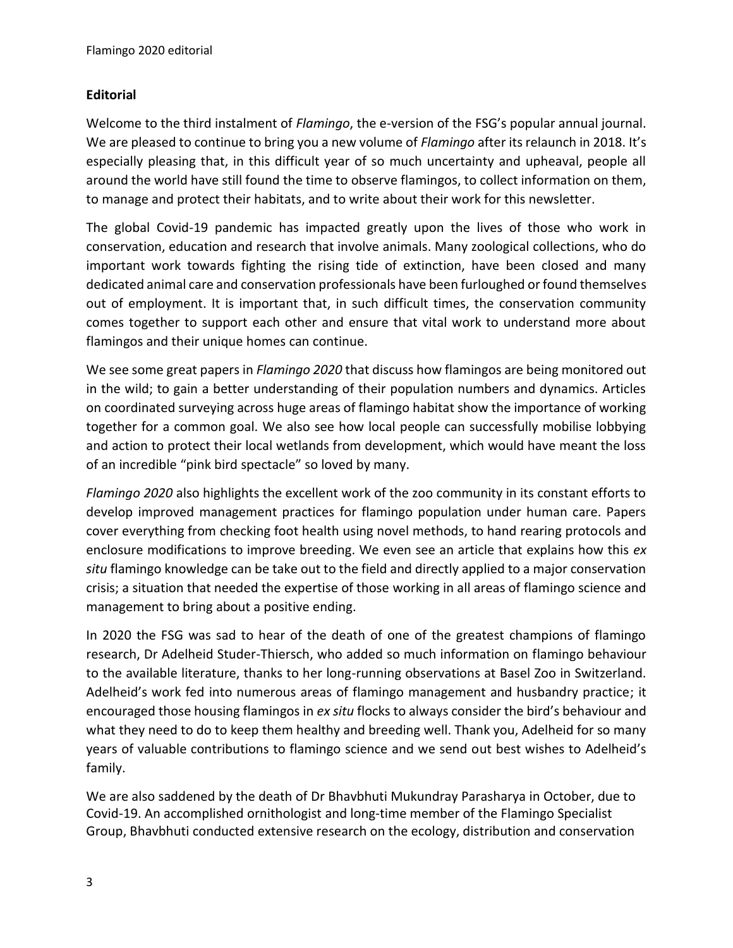## **Editorial**

Welcome to the third instalment of *Flamingo*, the e-version of the FSG's popular annual journal. We are pleased to continue to bring you a new volume of *Flamingo* after its relaunch in 2018. It's especially pleasing that, in this difficult year of so much uncertainty and upheaval, people all around the world have still found the time to observe flamingos, to collect information on them, to manage and protect their habitats, and to write about their work for this newsletter.

The global Covid-19 pandemic has impacted greatly upon the lives of those who work in conservation, education and research that involve animals. Many zoological collections, who do important work towards fighting the rising tide of extinction, have been closed and many dedicated animal care and conservation professionals have been furloughed or found themselves out of employment. It is important that, in such difficult times, the conservation community comes together to support each other and ensure that vital work to understand more about flamingos and their unique homes can continue.

We see some great papers in *Flamingo 2020* that discuss how flamingos are being monitored out in the wild; to gain a better understanding of their population numbers and dynamics. Articles on coordinated surveying across huge areas of flamingo habitat show the importance of working together for a common goal. We also see how local people can successfully mobilise lobbying and action to protect their local wetlands from development, which would have meant the loss of an incredible "pink bird spectacle" so loved by many.

*Flamingo 2020* also highlights the excellent work of the zoo community in its constant efforts to develop improved management practices for flamingo population under human care. Papers cover everything from checking foot health using novel methods, to hand rearing protocols and enclosure modifications to improve breeding. We even see an article that explains how this *ex situ* flamingo knowledge can be take out to the field and directly applied to a major conservation crisis; a situation that needed the expertise of those working in all areas of flamingo science and management to bring about a positive ending.

In 2020 the FSG was sad to hear of the death of one of the greatest champions of flamingo research, Dr Adelheid Studer-Thiersch, who added so much information on flamingo behaviour to the available literature, thanks to her long-running observations at Basel Zoo in Switzerland. Adelheid's work fed into numerous areas of flamingo management and husbandry practice; it encouraged those housing flamingos in *ex situ* flocks to always consider the bird's behaviour and what they need to do to keep them healthy and breeding well. Thank you, Adelheid for so many years of valuable contributions to flamingo science and we send out best wishes to Adelheid's family.

We are also saddened by the death of Dr Bhavbhuti Mukundray Parasharya in October, due to Covid-19. An accomplished ornithologist and long-time member of the Flamingo Specialist Group, Bhavbhuti conducted extensive research on the ecology, distribution and conservation